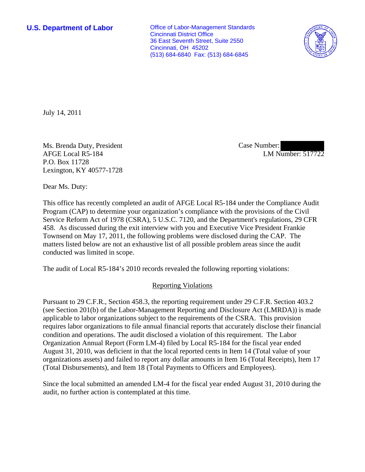**U.S. Department of Labor Conservative Conservative Conservative Conservative Conservative Conservative Conservative Conservative Conservative Conservative Conservative Conservative Conservative Conservative Conservative** Cincinnati District Office 36 East Seventh Street, Suite 2550 Cincinnati, OH 45202 (513) 684-6840 Fax: (513) 684-6845



July 14, 2011

Ms. Brenda Duty, President AFGE Local R5-184 P.O. Box 11728 Lexington, KY 40577-1728

Case Number: LM Number: 517722

Dear Ms. Duty:

This office has recently completed an audit of AFGE Local R5-184 under the Compliance Audit Program (CAP) to determine your organization's compliance with the provisions of the Civil Service Reform Act of 1978 (CSRA), 5 U.S.C. 7120, and the Department's regulations, 29 CFR 458. As discussed during the exit interview with you and Executive Vice President Frankie Townsend on May 17, 2011, the following problems were disclosed during the CAP. The matters listed below are not an exhaustive list of all possible problem areas since the audit conducted was limited in scope.

The audit of Local R5-184's 2010 records revealed the following reporting violations:

## Reporting Violations

Pursuant to 29 C.F.R., Section 458.3, the reporting requirement under 29 C.F.R. Section 403.2 (see Section 201(b) of the Labor-Management Reporting and Disclosure Act (LMRDA)) is made applicable to labor organizations subject to the requirements of the CSRA. This provision requires labor organizations to file annual financial reports that accurately disclose their financial condition and operations. The audit disclosed a violation of this requirement. The Labor Organization Annual Report (Form LM-4) filed by Local R5-184 for the fiscal year ended August 31, 2010, was deficient in that the local reported cents in Item 14 (Total value of your organizations assets) and failed to report any dollar amounts in Item 16 (Total Receipts), Item 17 (Total Disbursements), and Item 18 (Total Payments to Officers and Employees).

Since the local submitted an amended LM-4 for the fiscal year ended August 31, 2010 during the audit, no further action is contemplated at this time.